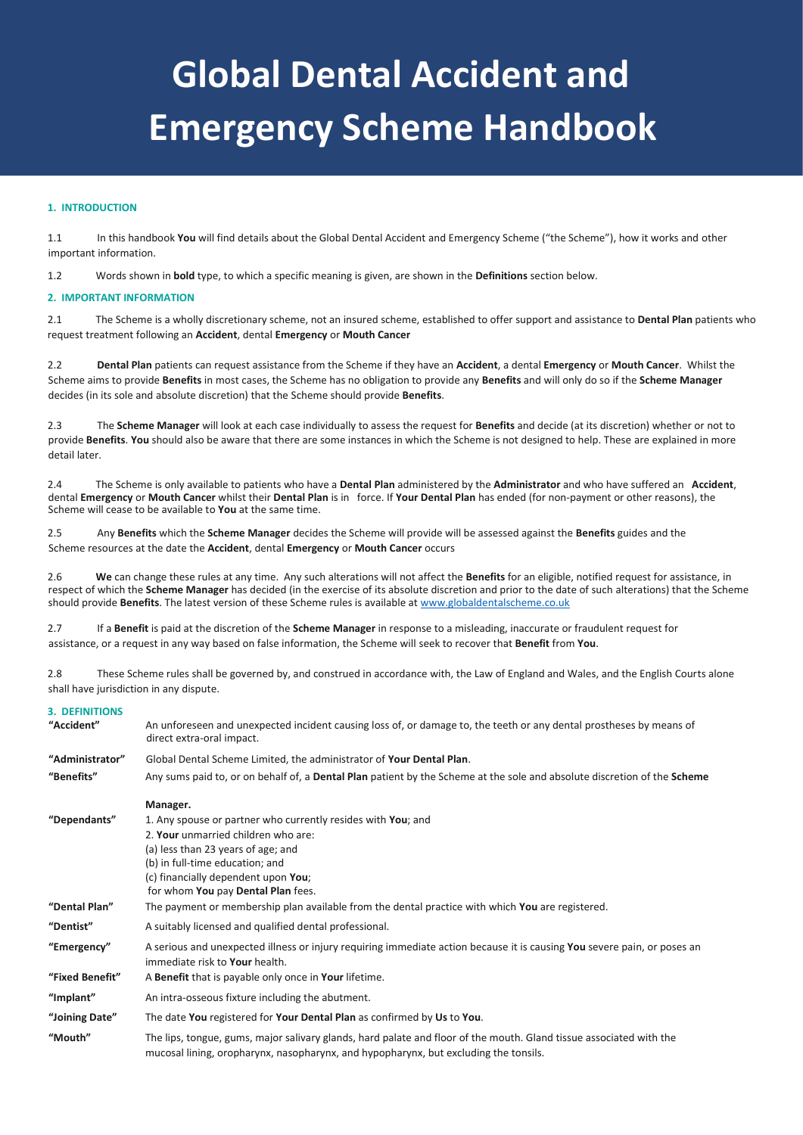# **Global Dental Accident and Emergency Scheme Handbook**

# **1. INTRODUCTION**

1.1 In this handbook **You** will find details about the Global Dental Accident and Emergency Scheme ("the Scheme"), how it works and other important information.

1.2 Words shown in **bold** type, to which a specific meaning is given, are shown in the **Definitions** section below.

## **2. IMPORTANT INFORMATION**

2.1 The Scheme is a wholly discretionary scheme, not an insured scheme, established to offer support and assistance to **Dental Plan** patients who request treatment following an **Accident**, dental **Emergency** or **Mouth Cancer**

2.2 **Dental Plan** patients can request assistance from the Scheme if they have an **Accident**, a dental **Emergency** or **Mouth Cancer**. Whilst the Scheme aims to provide **Benefits** in most cases, the Scheme has no obligation to provide any **Benefits** and will only do so if the **Scheme Manager** decides (in its sole and absolute discretion) that the Scheme should provide **Benefits**.

2.3 The **Scheme Manager** will look at each case individually to assess the request for **Benefits** and decide (at its discretion) whether or not to provide **Benefits**. **You** should also be aware that there are some instances in which the Scheme is not designed to help. These are explained in more detail later.

2.4 The Scheme is only available to patients who have a **Dental Plan** administered by the **Administrator** and who have suffered an **Accident**, dental **Emergency** or **Mouth Cancer** whilst their **Dental Plan** is in force. If **Your Dental Plan** has ended (for non-payment or other reasons), the Scheme will cease to be available to **You** at the same time.

2.5 Any **Benefits** which the **Scheme Manager** decides the Scheme will provide will be assessed against the **Benefits** guides and the Scheme resources at the date the **Accident**, dental **Emergency** or **Mouth Cancer** occurs

2.6 **We** can change these rules at any time. Any such alterations will not affect the **Benefits** for an eligible, notified request for assistance, in respect of which the **Scheme Manager** has decided (in the exercise of its absolute discretion and prior to the date of such alterations) that the Scheme should provide **Benefits**. The latest version of these Scheme rules is available at [www.globaldentalscheme.co.uk](http://www.globaldentalscheme.co.uk/)

2.7 If a **Benefit** is paid at the discretion of the **Scheme Manager** in response to a misleading, inaccurate or fraudulent request for assistance, or a request in any way based on false information, the Scheme will seek to recover that **Benefit** from **You**.

2.8 These Scheme rules shall be governed by, and construed in accordance with, the Law of England and Wales, and the English Courts alone shall have jurisdiction in any dispute.

### **3. DEFINITIONS**

| "Accident"      | An unforeseen and unexpected incident causing loss of, or damage to, the teeth or any dental prostheses by means of<br>direct extra-oral impact.                                                            |
|-----------------|-------------------------------------------------------------------------------------------------------------------------------------------------------------------------------------------------------------|
| "Administrator" | Global Dental Scheme Limited, the administrator of Your Dental Plan.                                                                                                                                        |
| "Benefits"      | Any sums paid to, or on behalf of, a <b>Dental Plan</b> patient by the Scheme at the sole and absolute discretion of the <b>Scheme</b>                                                                      |
|                 | Manager.                                                                                                                                                                                                    |
| "Dependants"    | 1. Any spouse or partner who currently resides with You; and                                                                                                                                                |
|                 | 2. Your unmarried children who are:                                                                                                                                                                         |
|                 | (a) less than 23 years of age; and                                                                                                                                                                          |
|                 | (b) in full-time education; and                                                                                                                                                                             |
|                 | (c) financially dependent upon You;                                                                                                                                                                         |
|                 | for whom You pay Dental Plan fees.                                                                                                                                                                          |
| "Dental Plan"   | The payment or membership plan available from the dental practice with which You are registered.                                                                                                            |
| "Dentist"       | A suitably licensed and qualified dental professional.                                                                                                                                                      |
| "Emergency"     | A serious and unexpected illness or injury requiring immediate action because it is causing You severe pain, or poses an<br>immediate risk to Your health.                                                  |
| "Fixed Benefit" | A Benefit that is payable only once in Your lifetime.                                                                                                                                                       |
| "Implant"       | An intra-osseous fixture including the abutment.                                                                                                                                                            |
| "Joining Date"  | The date You registered for Your Dental Plan as confirmed by Us to You.                                                                                                                                     |
| "Mouth"         | The lips, tongue, gums, major salivary glands, hard palate and floor of the mouth. Gland tissue associated with the<br>mucosal lining, oropharynx, nasopharynx, and hypopharynx, but excluding the tonsils. |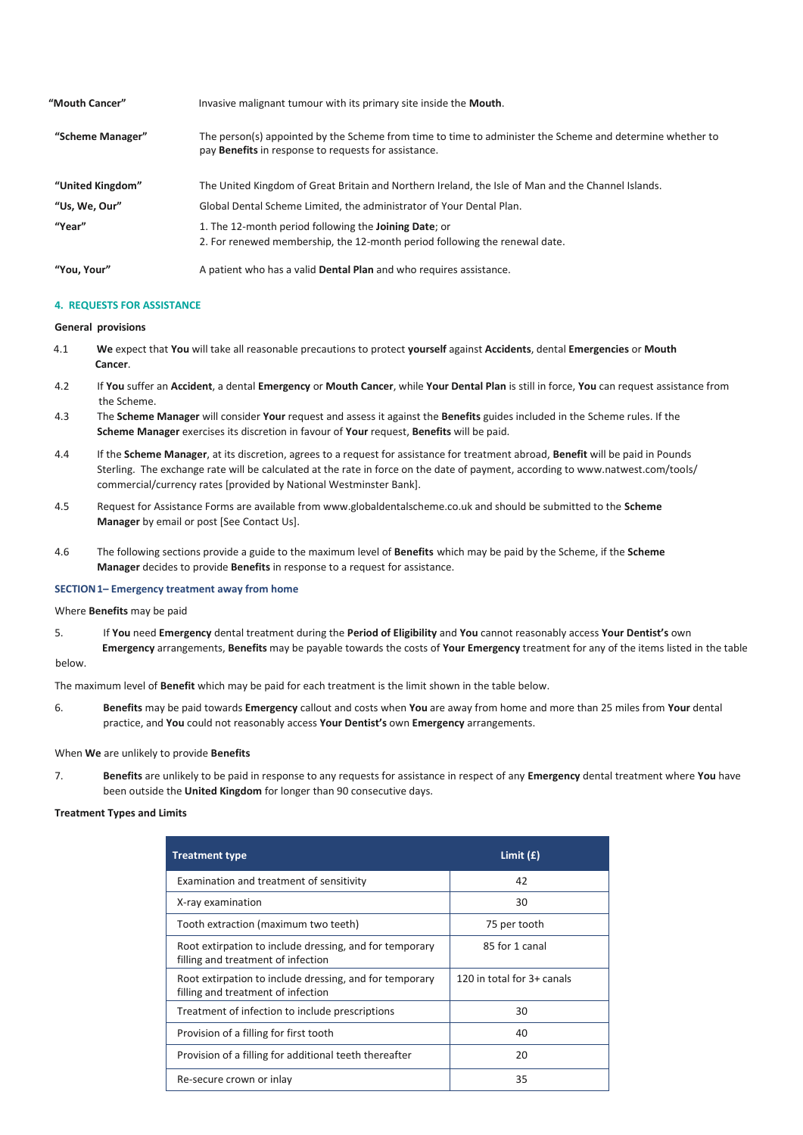| "Mouth Cancer"   | Invasive malignant tumour with its primary site inside the <b>Mouth</b> .                                                                                                |  |  |
|------------------|--------------------------------------------------------------------------------------------------------------------------------------------------------------------------|--|--|
| "Scheme Manager" | The person(s) appointed by the Scheme from time to time to administer the Scheme and determine whether to<br>pay <b>Benefits</b> in response to requests for assistance. |  |  |
| "United Kingdom" | The United Kingdom of Great Britain and Northern Ireland, the Isle of Man and the Channel Islands.                                                                       |  |  |
| "Us, We, Our"    | Global Dental Scheme Limited, the administrator of Your Dental Plan.                                                                                                     |  |  |
| "Year"           | 1. The 12-month period following the <b>Joining Date</b> ; or<br>2. For renewed membership, the 12-month period following the renewal date.                              |  |  |
| "You. Your"      | A patient who has a valid <b>Dental Plan</b> and who requires assistance.                                                                                                |  |  |

## **4. REQUESTS FOR ASSISTANCE**

## **General provisions**

- 4.1 **We** expect that **You** will take all reasonable precautions to protect **yourself** against **Accidents**, dental **Emergencies** or **Mouth Cancer**.
- 4.2 If **You** suffer an **Accident**, a dental **Emergency** or **Mouth Cancer**, while **Your Dental Plan** is still in force, **You** can request assistance from the Scheme.
- 4.3 The **Scheme Manager** will consider **Your** request and assess it against the **Benefits** guides included in the Scheme rules. If the **Scheme Manager** exercises its discretion in favour of **Your** request, **Benefits** will be paid.
- 4.4 If the **Scheme Manager**, at its discretion, agrees to a request for assistance for treatment abroad, **Benefit** will be paid in Pounds Sterling. The exchange rate will be calculated at the rate in force on the date of payment, according to www.natwest.com/tools/ commercial/currency rates [provided by National Westminster Bank].
- 4.5 Request for Assistance Forms are available from www.globaldentalscheme.co.uk and should be submitted to the **Scheme Manager** by email or post [See Contact Us].
- 4.6 The following sections provide a guide to the maximum level of **Benefits** which may be paid by the Scheme, if the **Scheme Manager** decides to provide **Benefits** in response to a request for assistance.

## **SECTION1– Emergency treatment away from home**

# Where **Benefits** may be paid

5. If **You** need **Emergency** dental treatment during the **Period of Eligibility** and **You** cannot reasonably access **Your Dentist's** own **Emergency** arrangements, **Benefits** may be payable towards the costs of **Your Emergency** treatment for any of the items listed in the table below.

The maximum level of **Benefit** which may be paid for each treatment is the limit shown in the table below.

6. **Benefits** may be paid towards **Emergency** callout and costs when **You** are away from home and more than 25 miles from **Your** dental practice, and **You** could not reasonably access **Your Dentist's** own **Emergency** arrangements.

When **We** are unlikely to provide **Benefits**

7. **Benefits** are unlikely to be paid in response to any requests for assistance in respect of any **Emergency** dental treatment where **You** have been outside the **United Kingdom** for longer than 90 consecutive days.

## **Treatment Types and Limits**

| <b>Treatment type</b>                                                                         | Limit $(E)$                |
|-----------------------------------------------------------------------------------------------|----------------------------|
| Examination and treatment of sensitivity                                                      | 42                         |
| X-ray examination                                                                             | 30                         |
| Tooth extraction (maximum two teeth)                                                          | 75 per tooth               |
| Root extirpation to include dressing, and for temporary<br>filling and treatment of infection | 85 for 1 canal             |
| Root extirpation to include dressing, and for temporary<br>filling and treatment of infection | 120 in total for 3+ canals |
| Treatment of infection to include prescriptions                                               | 30                         |
| Provision of a filling for first tooth                                                        | 40                         |
| Provision of a filling for additional teeth thereafter                                        | 20                         |
| Re-secure crown or inlay                                                                      | 35                         |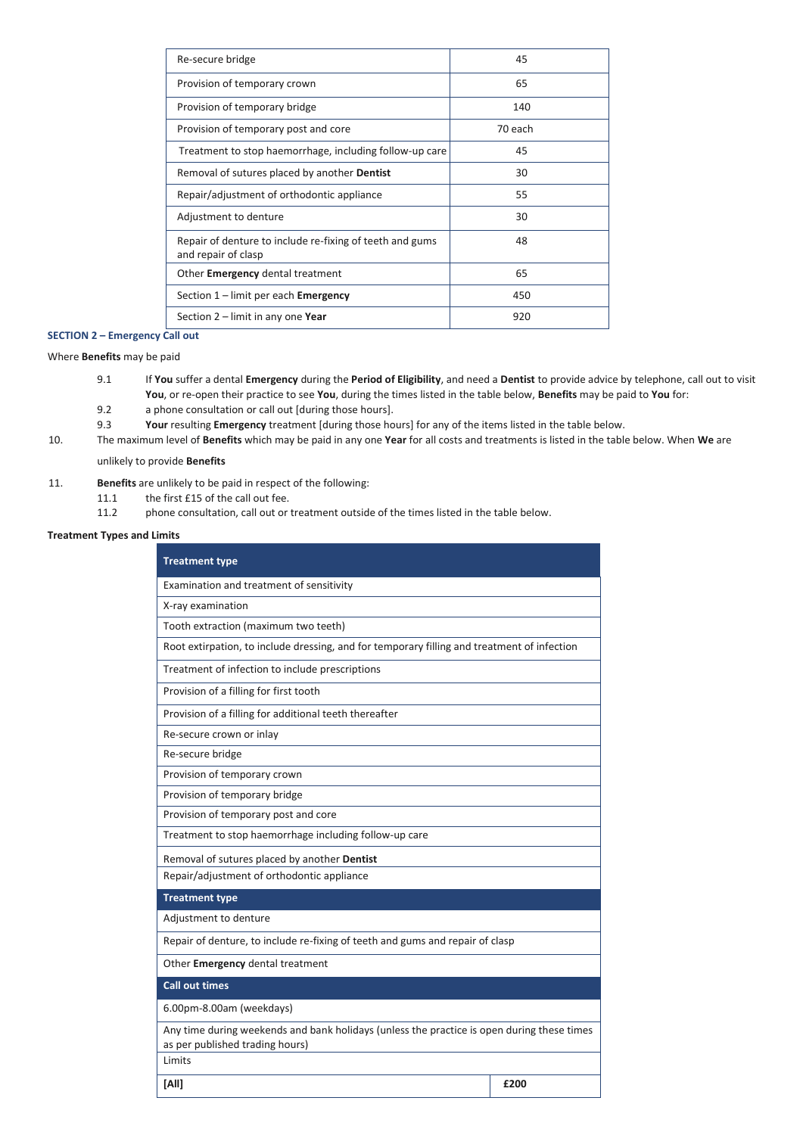| Re-secure bridge                                                                | 45      |
|---------------------------------------------------------------------------------|---------|
| Provision of temporary crown                                                    | 65      |
| Provision of temporary bridge                                                   | 140     |
| Provision of temporary post and core                                            | 70 each |
| Treatment to stop haemorrhage, including follow-up care                         | 45      |
| Removal of sutures placed by another Dentist                                    | 30      |
| Repair/adjustment of orthodontic appliance                                      | 55      |
| Adjustment to denture                                                           | 30      |
| Repair of denture to include re-fixing of teeth and gums<br>and repair of clasp | 48      |
| Other <b>Emergency</b> dental treatment                                         | 65      |
| Section 1 – limit per each <b>Emergency</b>                                     | 450     |
| Section $2$ – limit in any one Year                                             | 920     |

# **SECTION 2 – Emergency Call out**

Where **Benefits** may be paid

- 9.1 If **You** suffer a dental **Emergency** during the **Period of Eligibility**, and need a **Dentist** to provide advice by telephone, call out to visit **You**, or re-open their practice to see **You**, during the times listed in the table below, **Benefits** may be paid to **You** for:
- 9.2 a phone consultation or call out [during those hours].
- 9.3 **Your** resulting **Emergency** treatment [during those hours] for any of the items listed in the table below.
- 10. The maximum level of **Benefits** which may be paid in any one **Year** for all costs and treatments is listed in the table below. When **We** are

## unlikely to provide **Benefits**

- 11. **Benefits** are unlikely to be paid in respect of the following:
	- 11.1 the first £15 of the call out fee.<br>11.2 bhone consultation, call out or
	- phone consultation, call out or treatment outside of the times listed in the table below.

# **Treatment Types and Limits**

| <b>Treatment type</b>                                                                                                         |      |  |
|-------------------------------------------------------------------------------------------------------------------------------|------|--|
| Examination and treatment of sensitivity                                                                                      |      |  |
| X-ray examination                                                                                                             |      |  |
| Tooth extraction (maximum two teeth)                                                                                          |      |  |
| Root extirpation, to include dressing, and for temporary filling and treatment of infection                                   |      |  |
| Treatment of infection to include prescriptions                                                                               |      |  |
| Provision of a filling for first tooth                                                                                        |      |  |
| Provision of a filling for additional teeth thereafter                                                                        |      |  |
| Re-secure crown or inlay                                                                                                      |      |  |
| Re-secure bridge                                                                                                              |      |  |
| Provision of temporary crown                                                                                                  |      |  |
| Provision of temporary bridge                                                                                                 |      |  |
| Provision of temporary post and core                                                                                          |      |  |
| Treatment to stop haemorrhage including follow-up care                                                                        |      |  |
| Removal of sutures placed by another Dentist                                                                                  |      |  |
| Repair/adjustment of orthodontic appliance                                                                                    |      |  |
| <b>Treatment type</b>                                                                                                         |      |  |
| Adjustment to denture                                                                                                         |      |  |
| Repair of denture, to include re-fixing of teeth and gums and repair of clasp                                                 |      |  |
| Other Emergency dental treatment                                                                                              |      |  |
| <b>Call out times</b>                                                                                                         |      |  |
| 6.00pm-8.00am (weekdays)                                                                                                      |      |  |
| Any time during weekends and bank holidays (unless the practice is open during these times<br>as per published trading hours) |      |  |
| Limits                                                                                                                        |      |  |
| [All]                                                                                                                         | £200 |  |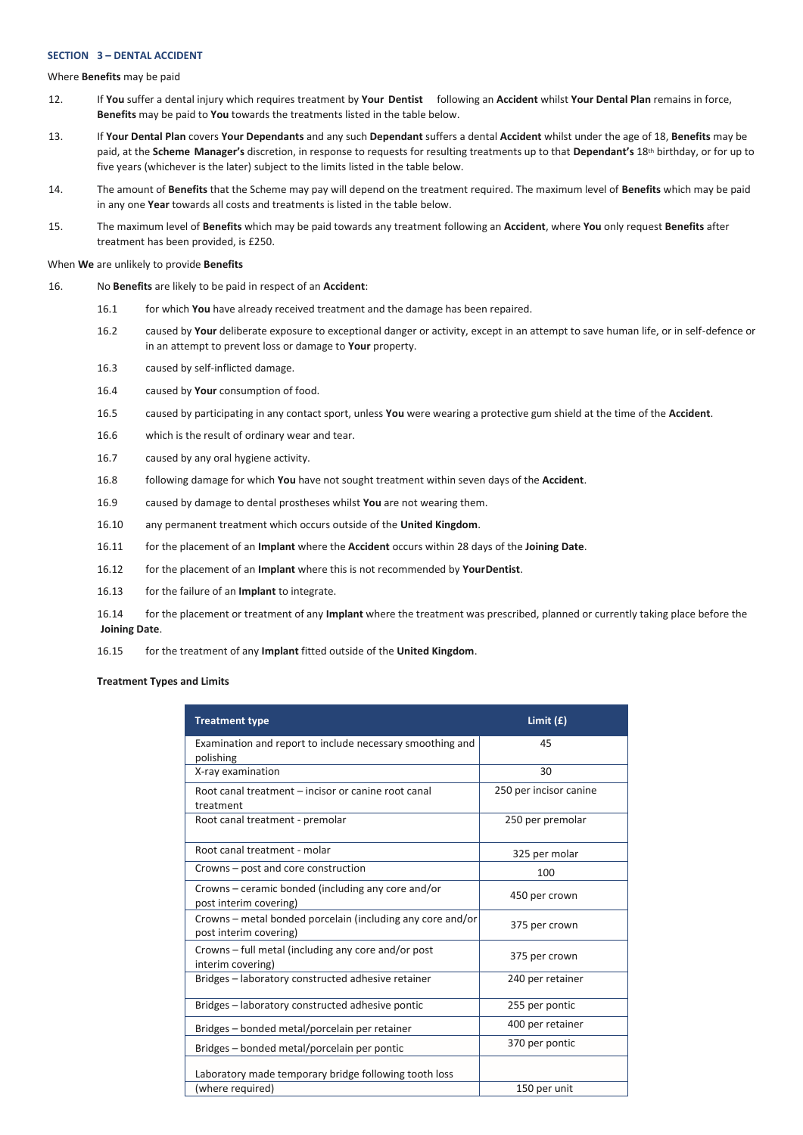## **SECTION 3 – DENTAL ACCIDENT**

Where **Benefits** may be paid

- 12. If **You** suffer a dental injury which requires treatment by **Your Dentist** following an **Accident** whilst **Your Dental Plan** remains in force, **Benefits** may be paid to **You** towards the treatments listed in the table below.
- 13. If **Your Dental Plan** covers **Your Dependants** and any such **Dependant** suffers a dental **Accident** whilst under the age of 18, **Benefits** may be paid, at the **Scheme Manager's** discretion, in response to requests for resulting treatments up to that **Dependant's** 18th birthday, or for up to five years (whichever is the later) subject to the limits listed in the table below.
- 14. The amount of **Benefits** that the Scheme may pay will depend on the treatment required. The maximum level of **Benefits** which may be paid in any one **Year** towards all costs and treatments is listed in the table below.
- 15. The maximum level of **Benefits** which may be paid towards any treatment following an **Accident**, where **You** only request **Benefits** after treatment has been provided, is £250.

### When **We** are unlikely to provide **Benefits**

- 16. No **Benefits** are likely to be paid in respect of an **Accident**:
	- 16.1 for which **You** have already received treatment and the damage has been repaired.
	- 16.2 caused by **Your** deliberate exposure to exceptional danger or activity, except in an attempt to save human life, or in self-defence or in an attempt to prevent loss or damage to **Your** property.
	- 16.3 caused by self-inflicted damage.
	- 16.4 caused by **Your** consumption of food.
	- 16.5 caused by participating in any contact sport, unless **You** were wearing a protective gum shield at the time of the **Accident**.
	- 16.6 which is the result of ordinary wear and tear.
	- 16.7 caused by any oral hygiene activity.
	- 16.8 following damage for which **You** have not sought treatment within seven days of the **Accident**.
	- 16.9 caused by damage to dental prostheses whilst **You** are not wearing them.
	- 16.10 any permanent treatment which occurs outside of the **United Kingdom**.
	- 16.11 for the placement of an **Implant** where the **Accident** occurs within 28 days of the **Joining Date**.
	- 16.12 for the placement of an **Implant** where this is not recommended by **YourDentist**.
	- 16.13 for the failure of an **Implant** to integrate.

16.14 for the placement or treatment of any **Implant** where the treatment was prescribed, planned or currently taking place before the **Joining Date**.

16.15 for the treatment of any **Implant** fitted outside of the **United Kingdom**.

**Treatment Types and Limits**

| <b>Treatment type</b>                                                                | Limit $(f)$            |
|--------------------------------------------------------------------------------------|------------------------|
| Examination and report to include necessary smoothing and<br>polishing               | 45                     |
| X-ray examination                                                                    | 30                     |
| Root canal treatment – incisor or canine root canal<br>treatment                     | 250 per incisor canine |
| Root canal treatment - premolar                                                      | 250 per premolar       |
| Root canal treatment - molar                                                         | 325 per molar          |
| Crowns – post and core construction                                                  | 100                    |
| Crowns – ceramic bonded (including any core and/or<br>post interim covering)         | 450 per crown          |
| Crowns – metal bonded porcelain (including any core and/or<br>post interim covering) | 375 per crown          |
| Crowns – full metal (including any core and/or post<br>interim covering)             | 375 per crown          |
| Bridges - laboratory constructed adhesive retainer                                   | 240 per retainer       |
| Bridges - laboratory constructed adhesive pontic                                     | 255 per pontic         |
| Bridges - bonded metal/porcelain per retainer                                        | 400 per retainer       |
| Bridges - bonded metal/porcelain per pontic                                          | 370 per pontic         |
| Laboratory made temporary bridge following tooth loss                                |                        |
| (where required)                                                                     | 150 per unit           |